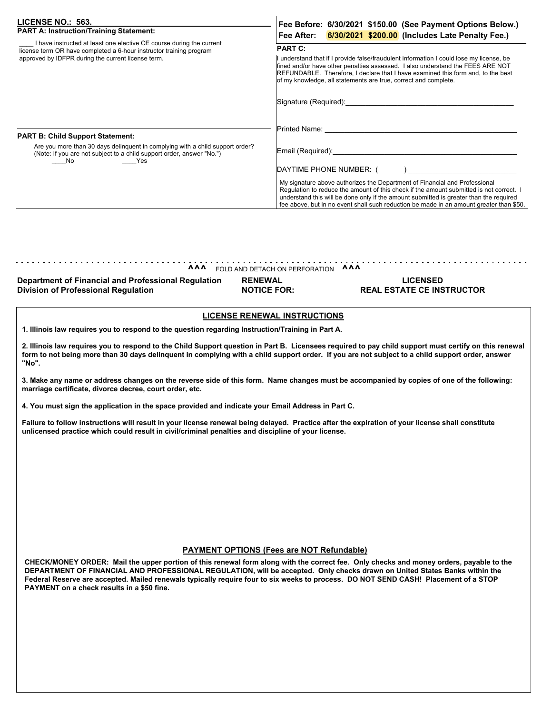| <b>LICENSE NO.: 563.</b><br><b>PART A: Instruction/Training Statement:</b><br>I have instructed at least one elective CE course during the current<br>license term OR have completed a 6-hour instructor training program<br>approved by IDFPR during the current license term.<br><b>PART B: Child Support Statement:</b><br>Are you more than 30 days delinguent in complying with a child support order?<br>(Note: If you are not subject to a child support order, answer "No.")<br>No<br><b>Example 2</b> Yes | Fee Before: 6/30/2021 \$150.00 (See Payment Options Below.)<br>Fee After: 6/30/2021 \$200.00 (Includes Late Penalty Fee.)                                                                                                                                                                                                                                                                                                                                       |
|--------------------------------------------------------------------------------------------------------------------------------------------------------------------------------------------------------------------------------------------------------------------------------------------------------------------------------------------------------------------------------------------------------------------------------------------------------------------------------------------------------------------|-----------------------------------------------------------------------------------------------------------------------------------------------------------------------------------------------------------------------------------------------------------------------------------------------------------------------------------------------------------------------------------------------------------------------------------------------------------------|
|                                                                                                                                                                                                                                                                                                                                                                                                                                                                                                                    | <b>PART C:</b><br>I understand that if I provide false/fraudulent information I could lose my license, be<br>fined and/or have other penalties assessed. I also understand the FEES ARE NOT<br>REFUNDABLE. Therefore, I declare that I have examined this form and, to the best<br>of my knowledge, all statements are true, correct and complete.                                                                                                              |
|                                                                                                                                                                                                                                                                                                                                                                                                                                                                                                                    | Signature (Required): Signature of the Signature of the Signature of the Signature of the Signature of the Signature of the Signature of the Signature of the Signature of the Signature of the Signature of the Signature of<br>Printed Name: All and the control of the control of the control of the control of the control of the control of the control of the control of the control of the control of the control of the control of the control of the c |
|                                                                                                                                                                                                                                                                                                                                                                                                                                                                                                                    | Email (Required):<br>DAYTIME PHONE NUMBER: (                                                                                                                                                                                                                                                                                                                                                                                                                    |
|                                                                                                                                                                                                                                                                                                                                                                                                                                                                                                                    | My signature above authorizes the Department of Financial and Professional<br>Regulation to reduce the amount of this check if the amount submitted is not correct. I<br>understand this will be done only if the amount submitted is greater than the required<br>fee above, but in no event shall such reduction be made in an amount greater than \$50.                                                                                                      |

## **^^^** FOLD AND DETACH ON PERFORATION **^^^**

**Department of Financial and Professional Regulation Division of Professional Regulation** 

**RENEWAL NOTICE FOR:** 

## **LICENSED REAL ESTATE CE INSTRUCTOR**

## **LICENSE RENEWAL INSTRUCTIONS**

**1. Illinois law requires you to respond to the question regarding Instruction/Training in Part A.**

**2. Illinois law requires you to respond to the Child Support question in Part B. Licensees required to pay child support must certify on this renewal form to not being more than 30 days delinquent in complying with a child support order. If you are not subject to a child support order, answer "No".**

**3. Make any name or address changes on the reverse side of this form. Name changes must be accompanied by copies of one of the following: marriage certificate, divorce decree, court order, etc.**

**4. You must sign the application in the space provided and indicate your Email Address in Part C.**

**Failure to follow instructions will result in your license renewal being delayed. Practice after the expiration of your license shall constitute unlicensed practice which could result in civil/criminal penalties and discipline of your license.**

## **PAYMENT OPTIONS (Fees are NOT Refundable)**

**CHECK/MONEY ORDER: Mail the upper portion of this renewal form along with the correct fee. Only checks and money orders, payable to the DEPARTMENT OF FINANCIAL AND PROFESSIONAL REGULATION, will be accepted. Only checks drawn on United States Banks within the Federal Reserve are accepted. Mailed renewals typically require four to six weeks to process. DO NOT SEND CASH! Placement of a STOP PAYMENT on a check results in a \$50 fine.**